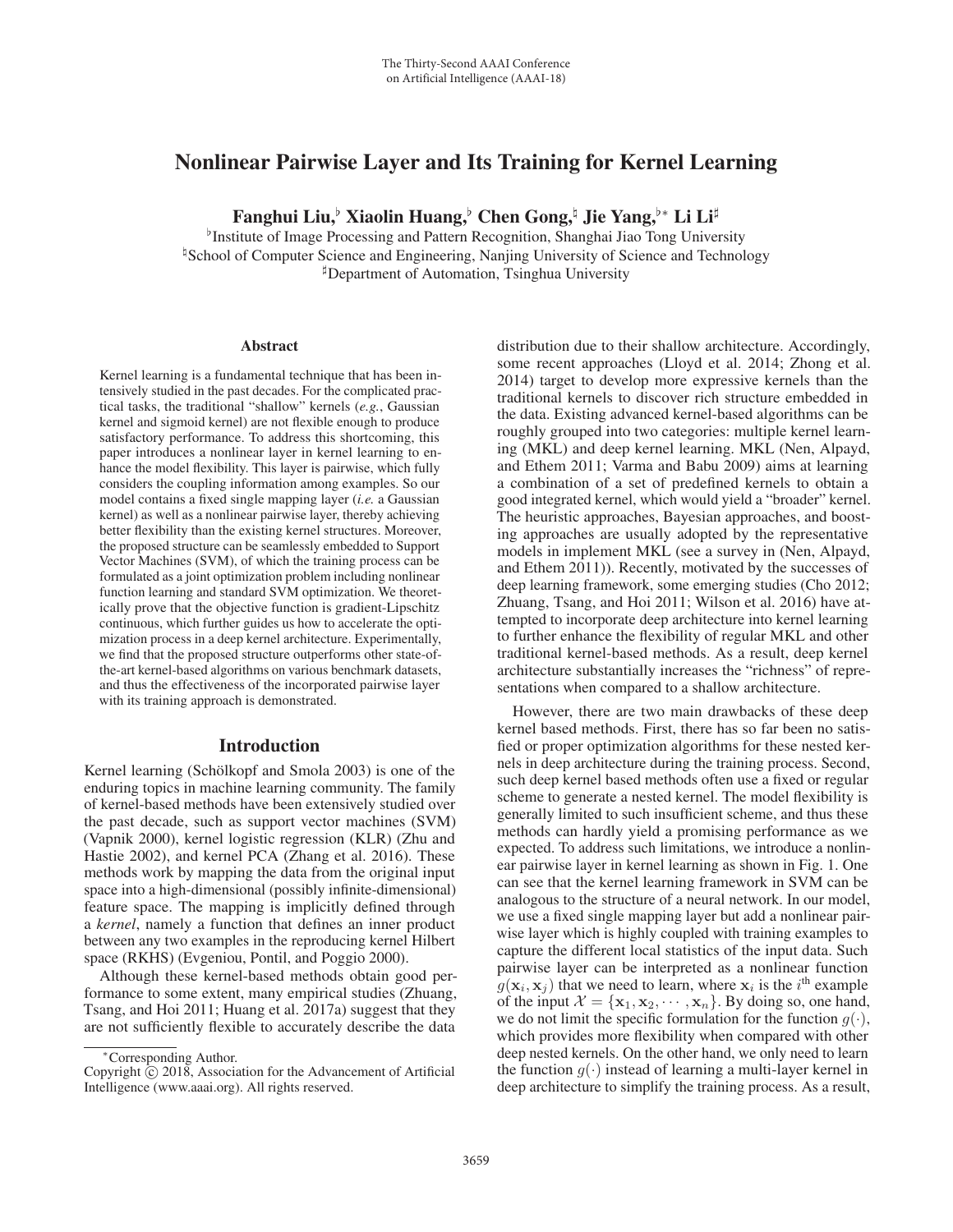# Nonlinear Pairwise Layer and Its Training for Kernel Learning

Fanghui Liu,<sup>♭</sup> Xiaolin Huang,♭ Chen Gong,ʰ Jie Yang,♭\* Li Li<sup>‡</sup>

<sup>b</sup>Institute of Image Processing and Pattern Recognition, Shanghai Jiao Tong University <sup>1</sup> School of Computer Science and Engineering, Nanjing University of Science and Technology Department of Automation, Tsinghua University

#### Abstract

Kernel learning is a fundamental technique that has been intensively studied in the past decades. For the complicated practical tasks, the traditional "shallow" kernels (*e.g.*, Gaussian kernel and sigmoid kernel) are not flexible enough to produce satisfactory performance. To address this shortcoming, this paper introduces a nonlinear layer in kernel learning to enhance the model flexibility. This layer is pairwise, which fully considers the coupling information among examples. So our model contains a fixed single mapping layer (*i.e.* a Gaussian kernel) as well as a nonlinear pairwise layer, thereby achieving better flexibility than the existing kernel structures. Moreover, the proposed structure can be seamlessly embedded to Support Vector Machines (SVM), of which the training process can be formulated as a joint optimization problem including nonlinear function learning and standard SVM optimization. We theoretically prove that the objective function is gradient-Lipschitz continuous, which further guides us how to accelerate the optimization process in a deep kernel architecture. Experimentally, we find that the proposed structure outperforms other state-ofthe-art kernel-based algorithms on various benchmark datasets, and thus the effectiveness of the incorporated pairwise layer with its training approach is demonstrated.

### Introduction

Kernel learning (Schölkopf and Smola 2003) is one of the enduring topics in machine learning community. The family of kernel-based methods have been extensively studied over the past decade, such as support vector machines (SVM) (Vapnik 2000), kernel logistic regression (KLR) (Zhu and Hastie 2002), and kernel PCA (Zhang et al. 2016). These methods work by mapping the data from the original input space into a high-dimensional (possibly infinite-dimensional) feature space. The mapping is implicitly defined through a *kernel*, namely a function that defines an inner product between any two examples in the reproducing kernel Hilbert space (RKHS) (Evgeniou, Pontil, and Poggio 2000).

Although these kernel-based methods obtain good performance to some extent, many empirical studies (Zhuang, Tsang, and Hoi 2011; Huang et al. 2017a) suggest that they are not sufficiently flexible to accurately describe the data

distribution due to their shallow architecture. Accordingly, some recent approaches (Lloyd et al. 2014; Zhong et al. 2014) target to develop more expressive kernels than the traditional kernels to discover rich structure embedded in the data. Existing advanced kernel-based algorithms can be roughly grouped into two categories: multiple kernel learning (MKL) and deep kernel learning. MKL (Nen, Alpayd, and Ethem 2011; Varma and Babu 2009) aims at learning a combination of a set of predefined kernels to obtain a good integrated kernel, which would yield a "broader" kernel. The heuristic approaches, Bayesian approaches, and boosting approaches are usually adopted by the representative models in implement MKL (see a survey in (Nen, Alpayd, and Ethem 2011)). Recently, motivated by the successes of deep learning framework, some emerging studies (Cho 2012; Zhuang, Tsang, and Hoi 2011; Wilson et al. 2016) have attempted to incorporate deep architecture into kernel learning to further enhance the flexibility of regular MKL and other traditional kernel-based methods. As a result, deep kernel architecture substantially increases the "richness" of representations when compared to a shallow architecture.

However, there are two main drawbacks of these deep kernel based methods. First, there has so far been no satisfied or proper optimization algorithms for these nested kernels in deep architecture during the training process. Second, such deep kernel based methods often use a fixed or regular scheme to generate a nested kernel. The model flexibility is generally limited to such insufficient scheme, and thus these methods can hardly yield a promising performance as we expected. To address such limitations, we introduce a nonlinear pairwise layer in kernel learning as shown in Fig. 1. One can see that the kernel learning framework in SVM can be analogous to the structure of a neural network. In our model, we use a fixed single mapping layer but add a nonlinear pairwise layer which is highly coupled with training examples to capture the different local statistics of the input data. Such pairwise layer can be interpreted as a nonlinear function  $g(\mathbf{x}_i, \mathbf{x}_j)$  that we need to learn, where  $\mathbf{x}_i$  is the i<sup>th</sup> example of the input  $\mathcal{X} = {\mathbf{x}_1, \mathbf{x}_2, \cdots, \mathbf{x}_n}$ . By doing so, one hand, we do not limit the specific formulation for the function  $g(\cdot)$ , which provides more flexibility when compared with other deep nested kernels. On the other hand, we only need to learn the function  $q(\cdot)$  instead of learning a multi-layer kernel in deep architecture to simplify the training process. As a result,

<sup>∗</sup>Corresponding Author.

Copyright  $\odot$  2018, Association for the Advancement of Artificial Intelligence (www.aaai.org). All rights reserved.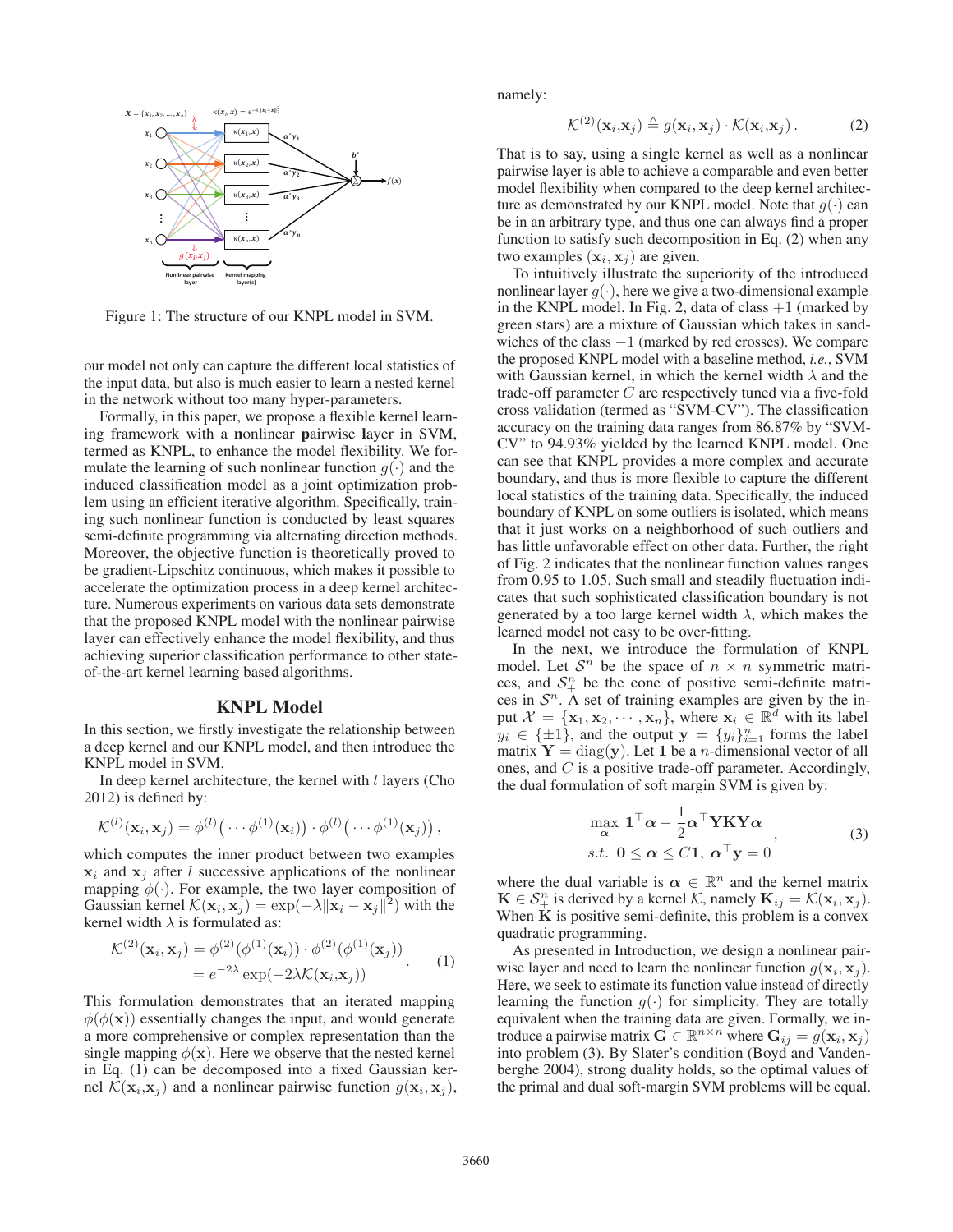

Figure 1: The structure of our KNPL model in SVM.

our model not only can capture the different local statistics of the input data, but also is much easier to learn a nested kernel in the network without too many hyper-parameters.

Formally, in this paper, we propose a flexible kernel learning framework with a nonlinear pairwise layer in SVM, termed as KNPL, to enhance the model flexibility. We formulate the learning of such nonlinear function  $q(\cdot)$  and the induced classification model as a joint optimization problem using an efficient iterative algorithm. Specifically, training such nonlinear function is conducted by least squares semi-definite programming via alternating direction methods. Moreover, the objective function is theoretically proved to be gradient-Lipschitz continuous, which makes it possible to accelerate the optimization process in a deep kernel architecture. Numerous experiments on various data sets demonstrate that the proposed KNPL model with the nonlinear pairwise layer can effectively enhance the model flexibility, and thus achieving superior classification performance to other stateof-the-art kernel learning based algorithms.

## KNPL Model

In this section, we firstly investigate the relationship between a deep kernel and our KNPL model, and then introduce the KNPL model in SVM.

In deep kernel architecture, the kernel with  $l$  layers (Cho 2012) is defined by:

$$
\mathcal{K}^{(l)}(\mathbf{x}_i,\mathbf{x}_j)=\phi^{(l)}\big(\cdots\phi^{(1)}(\mathbf{x}_i)\big)\cdot\phi^{(l)}\big(\cdots\phi^{(1)}(\mathbf{x}_j)\big)\,,
$$

which computes the inner product between two examples  $x_i$  and  $x_j$  after l successive applications of the nonlinear mapping  $\phi(\cdot)$ . For example, the two layer composition of Gaussian kernel  $\mathcal{K}(\mathbf{x}_i, \mathbf{x}_j) = \exp(-\lambda ||\mathbf{x}_i - \mathbf{x}_j||^2)$  with the kernel width  $\lambda$  is formulated as:

$$
\mathcal{K}^{(2)}(\mathbf{x}_i, \mathbf{x}_j) = \phi^{(2)}(\phi^{(1)}(\mathbf{x}_i)) \cdot \phi^{(2)}(\phi^{(1)}(\mathbf{x}_j))
$$
  
=  $e^{-2\lambda} \exp(-2\lambda \mathcal{K}(\mathbf{x}_i, \mathbf{x}_j))$  (1)

This formulation demonstrates that an iterated mapping  $\phi(\phi(\mathbf{x}))$  essentially changes the input, and would generate a more comprehensive or complex representation than the single mapping  $\phi(\mathbf{x})$ . Here we observe that the nested kernel in Eq. (1) can be decomposed into a fixed Gaussian kernel  $\mathcal{K}(\mathbf{x}_i, \mathbf{x}_j)$  and a nonlinear pairwise function  $g(\mathbf{x}_i, \mathbf{x}_j)$ , namely:

$$
\mathcal{K}^{(2)}(\mathbf{x}_i, \mathbf{x}_j) \triangleq g(\mathbf{x}_i, \mathbf{x}_j) \cdot \mathcal{K}(\mathbf{x}_i, \mathbf{x}_j).
$$
 (2)

That is to say, using a single kernel as well as a nonlinear pairwise layer is able to achieve a comparable and even better model flexibility when compared to the deep kernel architecture as demonstrated by our KNPL model. Note that  $g(\cdot)$  can be in an arbitrary type, and thus one can always find a proper function to satisfy such decomposition in Eq. (2) when any two examples  $(\mathbf{x}_i, \mathbf{x}_j)$  are given.

To intuitively illustrate the superiority of the introduced nonlinear layer  $q(\cdot)$ , here we give a two-dimensional example in the KNPL model. In Fig. 2, data of class  $+1$  (marked by green stars) are a mixture of Gaussian which takes in sandwiches of the class −1 (marked by red crosses). We compare the proposed KNPL model with a baseline method, *i.e.*, SVM with Gaussian kernel, in which the kernel width  $\lambda$  and the trade-off parameter  $C$  are respectively tuned via a five-fold cross validation (termed as "SVM-CV"). The classification accuracy on the training data ranges from 86.87% by "SVM-CV" to 94.93% yielded by the learned KNPL model. One can see that KNPL provides a more complex and accurate boundary, and thus is more flexible to capture the different local statistics of the training data. Specifically, the induced boundary of KNPL on some outliers is isolated, which means that it just works on a neighborhood of such outliers and has little unfavorable effect on other data. Further, the right of Fig. 2 indicates that the nonlinear function values ranges from 0.95 to 1.05. Such small and steadily fluctuation indicates that such sophisticated classification boundary is not generated by a too large kernel width  $\lambda$ , which makes the learned model not easy to be over-fitting.

In the next, we introduce the formulation of KNPL model. Let  $S<sup>n</sup>$  be the space of  $n \times n$  symmetric matrices, and  $S_{+}^{n}$  be the cone of positive semi-definite matrices in  $S<sup>n</sup>$ . A set of training examples are given by the input  $\mathcal{X} = {\mathbf{x}_1, \mathbf{x}_2, \cdots, \mathbf{x}_n}$ , where  $\mathbf{x}_i \in \mathbb{R}^d$  with its label  $y_i \in {\pm 1}$ , and the output  $\mathbf{y} = \{y_i\}_{i=1}^n$  forms the label matrix  $Y = diag(y)$ . Let 1 be a *n*-dimensional vector of all ones, and C is a positive trade-off parameter. Accordingly, the dual formulation of soft margin SVM is given by:

$$
\max_{\alpha} \mathbf{1}^{\top} \alpha - \frac{1}{2} \alpha^{\top} \mathbf{Y} \mathbf{K} \mathbf{Y} \alpha
$$
\ns.t. 
$$
0 \leq \alpha \leq C \mathbf{1}, \alpha^{\top} \mathbf{y} = 0
$$
\n(3)

where the dual variable is  $\alpha \in \mathbb{R}^n$  and the kernel matrix  $\mathbf{K} \in \mathcal{S}_{+}^{n}$  is derived by a kernel  $\mathcal{K}$ , namely  $\mathbf{K}_{ij} = \mathcal{K}(\mathbf{x}_{i}, \mathbf{x}_{j})$ . When **K** is positive semi-definite, this problem is a convex quadratic programming.

As presented in Introduction, we design a nonlinear pairwise layer and need to learn the nonlinear function  $g(\mathbf{x}_i, \mathbf{x}_j)$ . Here, we seek to estimate its function value instead of directly learning the function  $g(\cdot)$  for simplicity. They are totally equivalent when the training data are given. Formally, we introduce a pairwise matrix  $\mathbf{G} \in \mathbb{R}^{n \times n}$  where  $\mathbf{G}_{ij} = g(\mathbf{x}_i, \mathbf{x}_j)$ into problem (3). By Slater's condition (Boyd and Vandenberghe 2004), strong duality holds, so the optimal values of the primal and dual soft-margin SVM problems will be equal.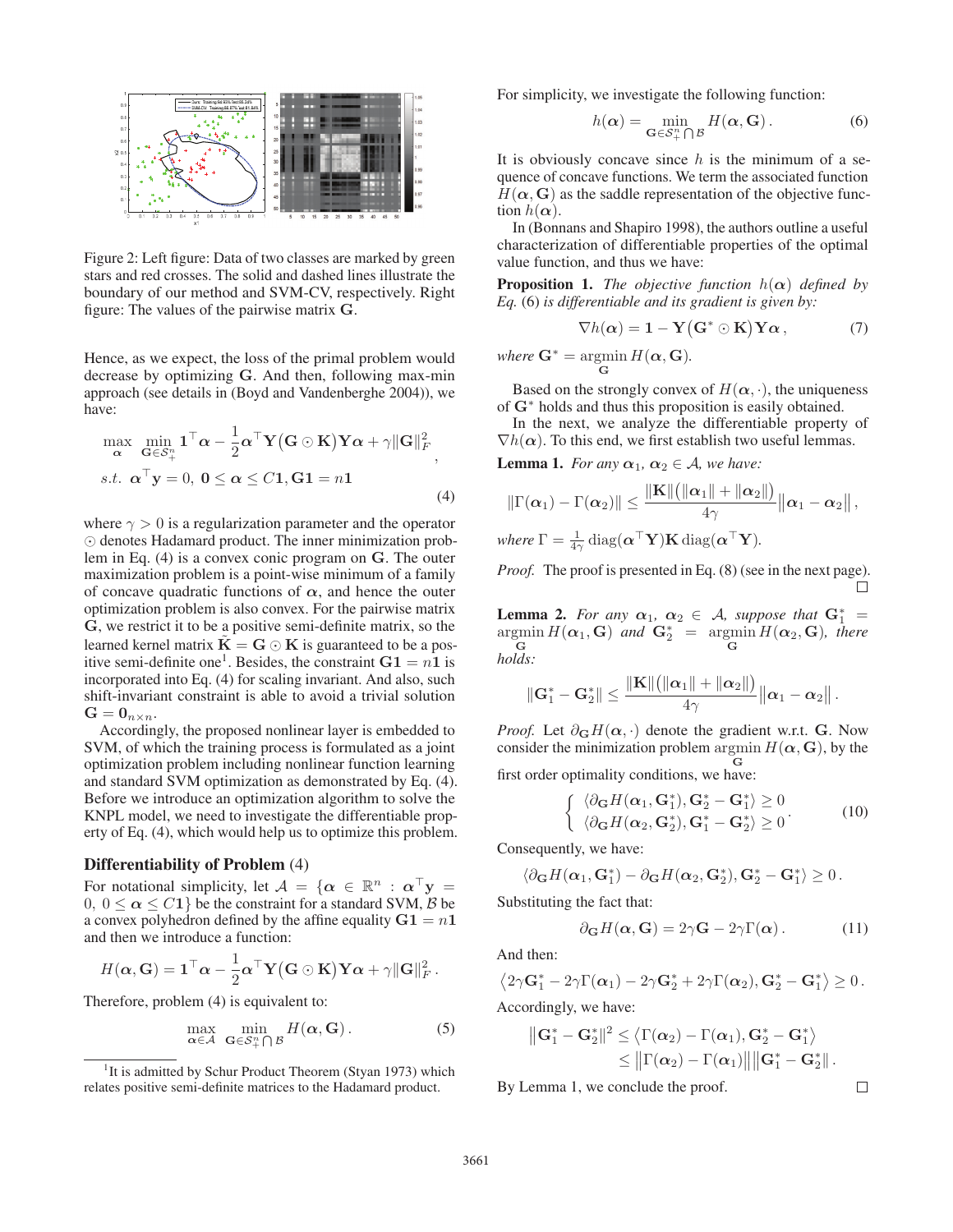

Figure 2: Left figure: Data of two classes are marked by green stars and red crosses. The solid and dashed lines illustrate the boundary of our method and SVM-CV, respectively. Right figure: The values of the pairwise matrix **G**.

Hence, as we expect, the loss of the primal problem would decrease by optimizing **G**. And then, following max-min approach (see details in (Boyd and Vandenberghe 2004)), we have:

$$
\max_{\mathbf{\alpha}} \min_{\mathbf{G} \in S_+^n} \mathbf{1}^\top \mathbf{\alpha} - \frac{1}{2} \mathbf{\alpha}^\top \mathbf{Y} (\mathbf{G} \odot \mathbf{K}) \mathbf{Y} \mathbf{\alpha} + \gamma \|\mathbf{G}\|_F^2
$$
\ns.t.  $\mathbf{\alpha}^\top \mathbf{y} = 0$ ,  $\mathbf{0} \le \mathbf{\alpha} \le C\mathbf{1}$ ,  $\mathbf{G}\mathbf{1} = n\mathbf{1}$  (4)

where  $\gamma > 0$  is a regularization parameter and the operator  $\odot$  denotes Hadamard product. The inner minimization problem in Eq. (4) is a convex conic program on **G**. The outer maximization problem is a point-wise minimum of a family of concave quadratic functions of  $\alpha$ , and hence the outer optimization problem is also convex. For the pairwise matrix **G**, we restrict it to be a positive semi-definite matrix, so the learned kernel matrix  $\mathbf{K} = \mathbf{G} \odot \mathbf{K}$  is guaranteed to be a positive semi-definite one<sup>1</sup>. Besides, the constraint  $G_1 = n_1$  is incorporated into Eq. (4) for scaling invariant. And also, such shift-invariant constraint is able to avoid a trivial solution  $G = \mathbf{0}_{n \times n}$ .

Accordingly, the proposed nonlinear layer is embedded to SVM, of which the training process is formulated as a joint optimization problem including nonlinear function learning and standard SVM optimization as demonstrated by Eq. (4). Before we introduce an optimization algorithm to solve the KNPL model, we need to investigate the differentiable property of Eq. (4), which would help us to optimize this problem.

#### Differentiability of Problem (4)

For notational simplicity, let  $A = \{ \alpha \in \mathbb{R}^n : \alpha^\top y =$  $0, 0 \le \alpha \le C_1$  be the constraint for a standard SVM, B be a convex polyhedron defined by the affine equality  $G1 = n1$ and then we introduce a function:

$$
H(\boldsymbol{\alpha}, \mathbf{G}) = \mathbf{1}^\top \boldsymbol{\alpha} - \frac{1}{2} \boldsymbol{\alpha}^\top \mathbf{Y} (\mathbf{G} \odot \mathbf{K}) \mathbf{Y} \boldsymbol{\alpha} + \gamma ||\mathbf{G}||^2_F.
$$

Therefore, problem (4) is equivalent to:

$$
\max_{\alpha \in \mathcal{A}} \ \min_{\mathbf{G} \in \mathcal{S}^n_+ \bigcap \mathcal{B}} H(\alpha, \mathbf{G}). \tag{5}
$$

For simplicity, we investigate the following function:

$$
h(\alpha) = \min_{\mathbf{G} \in \mathcal{S}_{+}^{n} \cap \mathcal{B}} H(\alpha, \mathbf{G}).
$$
 (6)

It is obviously concave since  $h$  is the minimum of a sequence of concave functions. We term the associated function  $H(\alpha, \mathbf{G})$  as the saddle representation of the objective function  $h(\alpha)$ .

In (Bonnans and Shapiro 1998), the authors outline a useful characterization of differentiable properties of the optimal value function, and thus we have:

**Proposition 1.** *The objective function*  $h(\alpha)$  *defined by Eq.* (6) *is differentiable and its gradient is given by:*

$$
\nabla h(\alpha) = 1 - \mathbf{Y}(\mathbf{G}^* \odot \mathbf{K}) \mathbf{Y} \alpha , \qquad (7)
$$

*where*  $\mathbf{G}^* = \operatorname*{argmin}_{\mathbf{G}} H(\boldsymbol{\alpha}, \mathbf{G}).$ 

Based on the strongly convex of  $H(\alpha, \cdot)$ , the uniqueness of **G**<sup>∗</sup> holds and thus this proposition is easily obtained.

In the next, we analyze the differentiable property of  $\nabla h(\alpha)$ . To this end, we first establish two useful lemmas.

**Lemma 1.** *For any*  $\alpha_1$ ,  $\alpha_2 \in A$ , we have:

$$
\|\Gamma(\boldsymbol{\alpha}_1)-\Gamma(\boldsymbol{\alpha}_2)\| \leq \frac{\|\mathbf{K}\|(\|\boldsymbol{\alpha}_1\|+\|\boldsymbol{\alpha}_2\|)}{4\gamma}\|\boldsymbol{\alpha}_1-\boldsymbol{\alpha}_2\|,
$$
  
where  $\Gamma = \frac{1}{4\gamma} \text{diag}(\boldsymbol{\alpha}^\top \mathbf{Y})\mathbf{K} \text{diag}(\boldsymbol{\alpha}^\top \mathbf{Y}).$ 

*Proof.* The proof is presented in Eq. (8) (see in the next page).  $\Box$ 

**Lemma 2.** *For any*  $\alpha_1$ ,  $\alpha_2 \in A$ , *suppose that*  $G_1^* =$  $\argmin_{\mathbf{a}} H(\mathbf{\alpha}_1, \mathbf{G})$  and  $\mathbf{G}_2^* = \argmin_{\mathbf{a}} H(\mathbf{\alpha}_2, \mathbf{G})$ , there **G**  $\overline{G}$ *holds:*

$$
\left\|\mathbf{G}_1^*-\mathbf{G}_2^*\right\| \leq \frac{\|\mathbf{K}\|\big(\|\boldsymbol{\alpha}_1\|+\|\boldsymbol{\alpha}_2\|\big)}{4\gamma}\big\|\boldsymbol{\alpha}_1-\boldsymbol{\alpha}_2\big\|\,.
$$

*Proof.* Let  $\partial_G H(\alpha, \cdot)$  denote the gradient w.r.t. **G**. Now consider the minimization problem  $\arg\min H(\boldsymbol{\alpha}, \mathbf{G})$ , by the **G** first order optimality conditions, we have:

$$
\begin{cases} \langle \partial_{\mathbf{G}} H(\boldsymbol{\alpha}_1, \mathbf{G}_1^*), \mathbf{G}_2^* - \mathbf{G}_1^* \rangle \ge 0 \\ \langle \partial_{\mathbf{G}} H(\boldsymbol{\alpha}_2, \mathbf{G}_2^*), \mathbf{G}_1^* - \mathbf{G}_2^* \rangle \ge 0 \end{cases}
$$
 (10)

Consequently, we have:

$$
\langle \partial_{\mathbf{G}} H(\boldsymbol{\alpha}_1,\mathbf{G}_1^*)-\partial_{\mathbf{G}} H(\boldsymbol{\alpha}_2,\mathbf{G}_2^*),\mathbf{G}_2^*-\mathbf{G}_1^* \rangle \geq 0.
$$

Substituting the fact that:

$$
\partial_{\mathbf{G}} H(\alpha, \mathbf{G}) = 2\gamma \mathbf{G} - 2\gamma \Gamma(\alpha). \quad (11)
$$

And then:

$$
\langle 2\gamma \mathbf{G}_1^*-2\gamma\Gamma(\boldsymbol{\alpha}_1)-2\gamma\mathbf{G}_2^*+2\gamma\Gamma(\boldsymbol{\alpha}_2),\mathbf{G}_2^*-\mathbf{G}_1^*\rangle\geq 0.
$$

Accordingly, we have:

$$
\begin{aligned} \left\| \mathbf{G}_1^* - \mathbf{G}_2^* \right\|^2 &\leq \left\langle \Gamma(\boldsymbol{\alpha}_2) - \Gamma(\boldsymbol{\alpha}_1), \mathbf{G}_2^* - \mathbf{G}_1^* \right\rangle \\ &\leq \left\| \Gamma(\boldsymbol{\alpha}_2) - \Gamma(\boldsymbol{\alpha}_1) \right\| \left\| \mathbf{G}_1^* - \mathbf{G}_2^* \right\|. \end{aligned}
$$

By Lemma 1, we conclude the proof.

 $\Box$ 

<sup>&</sup>lt;sup>1</sup>It is admitted by Schur Product Theorem (Styan 1973) which relates positive semi-definite matrices to the Hadamard product.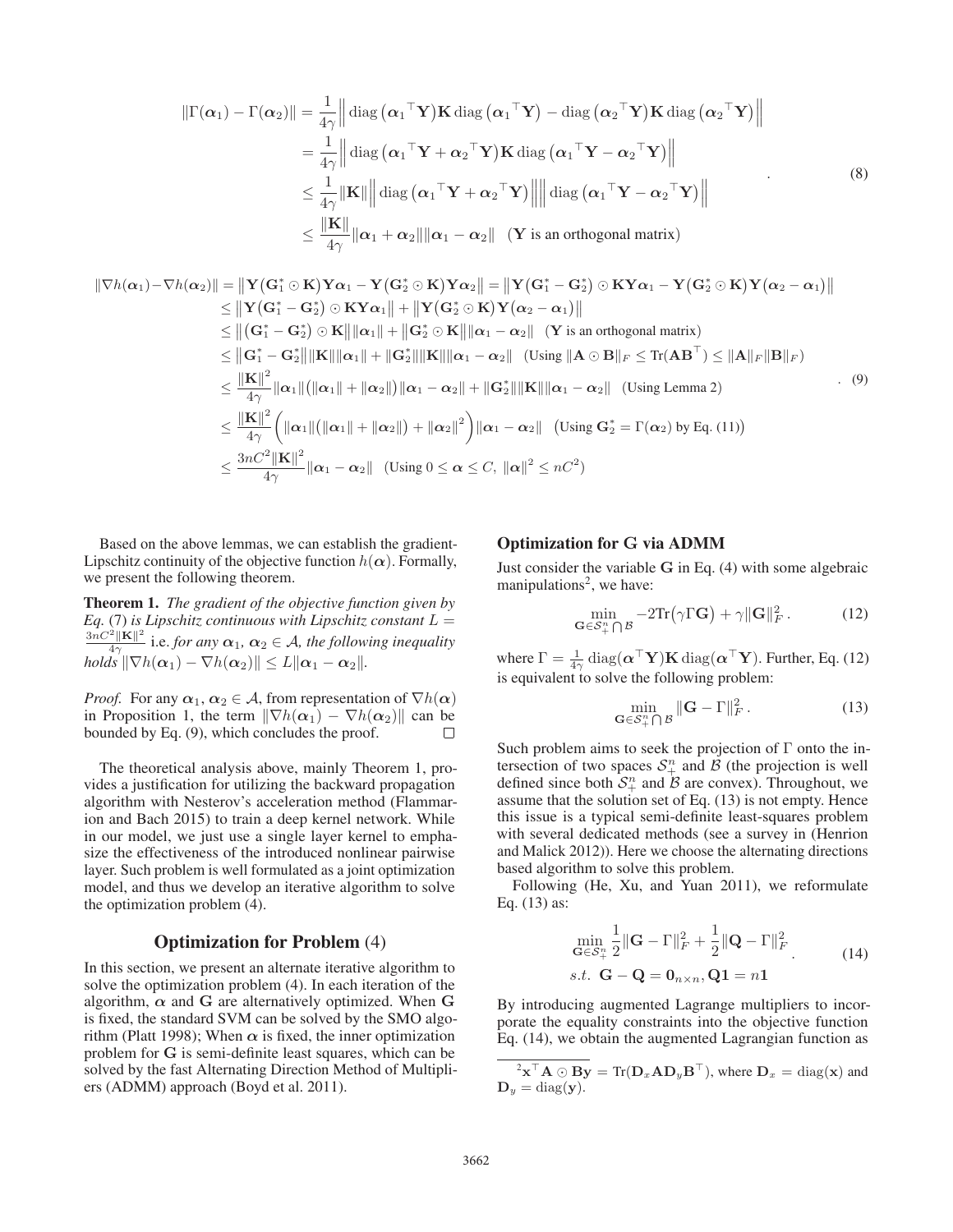$$
\|\Gamma(\alpha_1) - \Gamma(\alpha_2)\| = \frac{1}{4\gamma} \|\text{diag}(\alpha_1^\top \mathbf{Y}) \mathbf{K} \text{diag}(\alpha_1^\top \mathbf{Y}) - \text{diag}(\alpha_2^\top \mathbf{Y}) \mathbf{K} \text{diag}(\alpha_2^\top \mathbf{Y})\|
$$
  
\n
$$
= \frac{1}{4\gamma} \|\text{diag}(\alpha_1^\top \mathbf{Y} + \alpha_2^\top \mathbf{Y}) \mathbf{K} \text{diag}(\alpha_1^\top \mathbf{Y} - \alpha_2^\top \mathbf{Y})\|
$$
  
\n
$$
\leq \frac{1}{4\gamma} \|\mathbf{K}\| \|\text{diag}(\alpha_1^\top \mathbf{Y} + \alpha_2^\top \mathbf{Y})\| \|\text{diag}(\alpha_1^\top \mathbf{Y} - \alpha_2^\top \mathbf{Y})\|
$$
  
\n
$$
\leq \frac{\|\mathbf{K}\|}{4\gamma} \|\alpha_1 + \alpha_2\| \|\alpha_1 - \alpha_2\| \quad (\mathbf{Y} \text{ is an orthogonal matrix})
$$
 (8)

$$
\|\nabla h(\alpha_1) - \nabla h(\alpha_2)\| = \|\mathbf{Y}(\mathbf{G}_1^* \odot \mathbf{K})\mathbf{Y}\alpha_1 - \mathbf{Y}(\mathbf{G}_2^* \odot \mathbf{K})\mathbf{Y}\alpha_2\| = \|\mathbf{Y}(\mathbf{G}_1^* - \mathbf{G}_2^*) \odot \mathbf{K}\mathbf{Y}\alpha_1 - \mathbf{Y}(\mathbf{G}_2^* \odot \mathbf{K})\mathbf{Y}(\alpha_2 - \alpha_1)\| \n\leq \|\mathbf{Y}(\mathbf{G}_1^* - \mathbf{G}_2^*) \odot \mathbf{K}\mathbf{Y}\alpha_1\| + \|\mathbf{Y}(\mathbf{G}_2^* \odot \mathbf{K})\mathbf{Y}(\alpha_2 - \alpha_1)\| \n\leq \|(\mathbf{G}_1^* - \mathbf{G}_2^*) \odot \mathbf{K}\|\alpha_1\| + \|\mathbf{G}_2^* \odot \mathbf{K}\|\alpha_1 - \alpha_2\| \quad (\mathbf{Y} \text{ is an orthogonal matrix}) \n\leq \|\mathbf{G}_1^* - \mathbf{G}_2^*\|\|\mathbf{K}\|\alpha_1\| + \|\mathbf{G}_2^*\|\|\mathbf{K}\|\alpha_1 - \alpha_2\| \quad (\text{Using } \|\mathbf{A} \odot \mathbf{B}\|_F \leq \text{Tr}(\mathbf{A}\mathbf{B}^\top) \leq \|\mathbf{A}\|_F \|\mathbf{B}\|_F) \n\leq \frac{\|\mathbf{K}\|^2}{4\gamma} \|\alpha_1\| (\|\alpha_1\| + \|\alpha_2\|) \|\alpha_1 - \alpha_2\| + \|\mathbf{G}_2^*\|\|\mathbf{K}\|\alpha_1 - \alpha_2\| \quad (\text{Using Lemma 2}) \n\leq \frac{\|\mathbf{K}\|^2}{4\gamma} \left( \|\alpha_1\| (\|\alpha_1\| + \|\alpha_2\|) + \|\alpha_2\|^2 \right) \|\alpha_1 - \alpha_2\| \quad (\text{Using } \mathbf{G}_2^* = \Gamma(\alpha_2) \text{ by Eq. (11)}) \n\leq \frac{3nC^2 \|\mathbf{K}\|^2}{4\gamma} \|\alpha_1 - \alpha_2\| \quad (\text{Using } 0 \
$$

Based on the above lemmas, we can establish the gradient-Lipschitz continuity of the objective function  $h(\alpha)$ . Formally, we present the following theorem.

Theorem 1. *The gradient of the objective function given by*  $Eq. (7)$  *is Lipschitz continuous with Lipschitz constant*  $L =$  $\frac{3nC^2 \|\mathbf{K}\|^2}{4\gamma}$  i.e. *for any*  $\alpha_1$ ,  $\alpha_2 \in \mathcal{A}$ , the following inequality  $\left\| \nabla h(\boldsymbol{\alpha}_1) - \nabla h(\boldsymbol{\alpha}_2) \right\| \leq L \|\boldsymbol{\alpha}_1 - \boldsymbol{\alpha}_2\|.$ 

*Proof.* For any  $\alpha_1, \alpha_2 \in A$ , from representation of  $\nabla h(\alpha)$ in Proposition 1, the term  $\|\nabla h(\alpha_1) - \nabla h(\alpha_2)\|$  can be bounded by Eq. (9), which concludes the proof.  $\Box$ 

The theoretical analysis above, mainly Theorem 1, provides a justification for utilizing the backward propagation algorithm with Nesterov's acceleration method (Flammarion and Bach 2015) to train a deep kernel network. While in our model, we just use a single layer kernel to emphasize the effectiveness of the introduced nonlinear pairwise layer. Such problem is well formulated as a joint optimization model, and thus we develop an iterative algorithm to solve the optimization problem (4).

### Optimization for Problem (4)

In this section, we present an alternate iterative algorithm to solve the optimization problem (4). In each iteration of the algorithm,  $\alpha$  and **G** are alternatively optimized. When **G** is fixed, the standard SVM can be solved by the SMO algorithm (Platt 1998); When  $\alpha$  is fixed, the inner optimization problem for **G** is semi-definite least squares, which can be solved by the fast Alternating Direction Method of Multipliers (ADMM) approach (Boyd et al. 2011).

## Optimization for **G** via ADMM

Just consider the variable **G** in Eq. (4) with some algebraic manipulations<sup>2</sup>, we have:

$$
\min_{\mathbf{G}\in\mathcal{S}_{+}^{n}\bigcap\mathcal{B}}-2\mathrm{Tr}\big(\gamma\Gamma\mathbf{G}\big)+\gamma\|\mathbf{G}\|_{F}^{2}.
$$
 (12)

where  $\Gamma = \frac{1}{4\gamma} \operatorname{diag}(\boldsymbol{\alpha}^\top \mathbf{Y}) \mathbf{K} \operatorname{diag}(\boldsymbol{\alpha}^\top \mathbf{Y}).$  Further, Eq. (12) is equivalent to solve the following problem:

$$
\min_{\mathbf{G}\in\mathcal{S}_{+}^{n}\bigcap\mathcal{B}}\|\mathbf{G}-\Gamma\|_{F}^{2}.
$$
 (13)

Such problem aims to seek the projection of  $\Gamma$  onto the intersection of two spaces  $S_{+}^{n}$  and  $\overrightarrow{B}$  (the projection is well defined since both  $S_{+}^{n}$  and  $\overline{B}$  are convex). Throughout, we assume that the solution set of Eq. (13) is not empty. Hence this issue is a typical semi-definite least-squares problem with several dedicated methods (see a survey in (Henrion and Malick 2012)). Here we choose the alternating directions based algorithm to solve this problem.

Following (He, Xu, and Yuan 2011), we reformulate Eq. (13) as:

$$
\min_{\mathbf{G}\in\mathcal{S}_{+}^{n}}\frac{1}{2}\|\mathbf{G}-\Gamma\|_{F}^{2}+\frac{1}{2}\|\mathbf{Q}-\Gamma\|_{F}^{2}
$$
\n
$$
s.t. \mathbf{G}-\mathbf{Q}=\mathbf{0}_{n\times n}, \mathbf{Q}\mathbf{1}=n\mathbf{1}
$$
\n(14)

By introducing augmented Lagrange multipliers to incorporate the equality constraints into the objective function Eq. (14), we obtain the augmented Lagrangian function as

$$
{}^{2}\mathbf{x}^{\top}\mathbf{A} \odot \mathbf{B}\mathbf{y} = \text{Tr}(\mathbf{D}_{x}\mathbf{A}\mathbf{D}_{y}\mathbf{B}^{\top}), \text{ where } \mathbf{D}_{x} = \text{diag}(\mathbf{x}) \text{ and } \mathbf{D}_{y} = \text{diag}(\mathbf{y}).
$$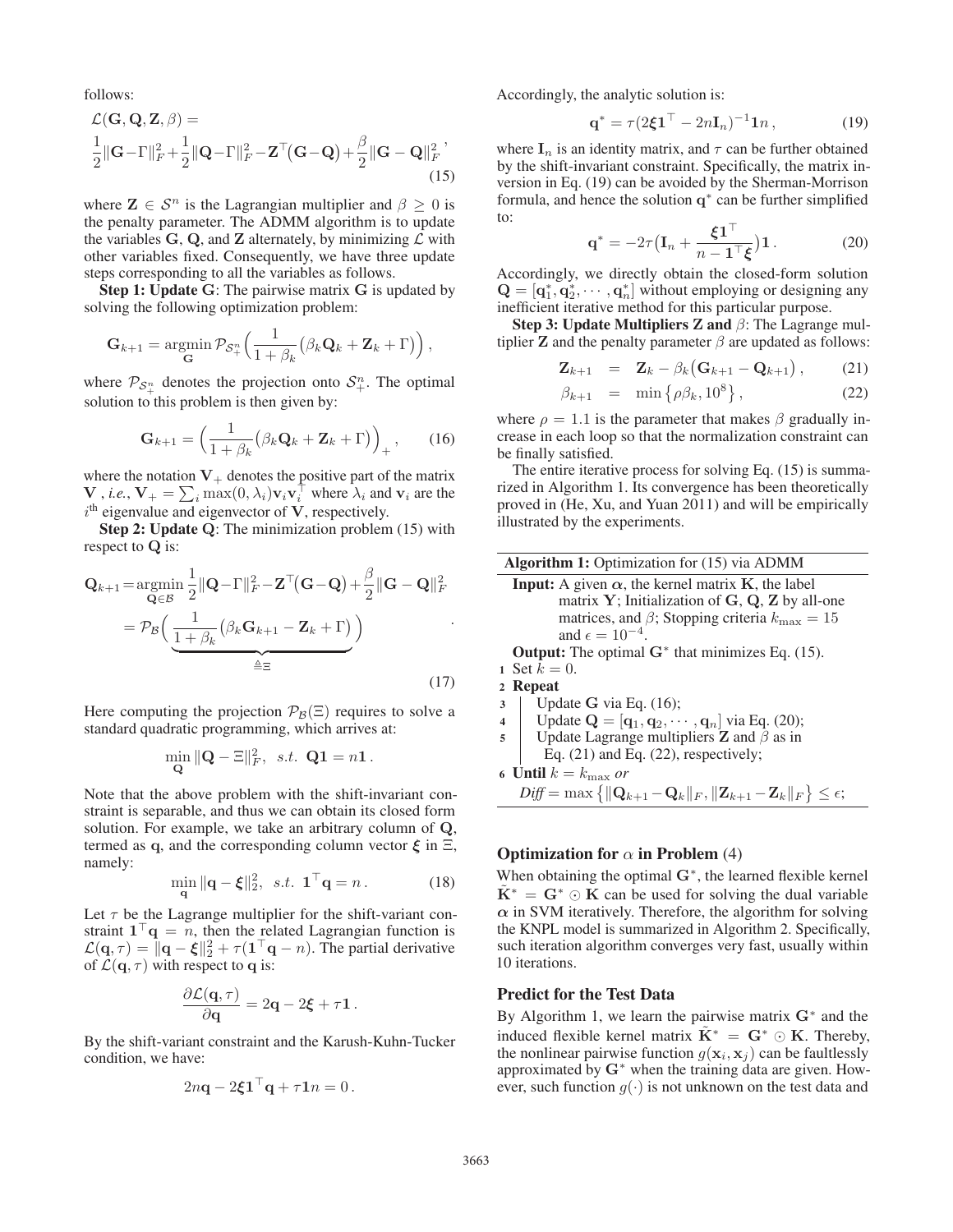follows:

$$
\mathcal{L}(\mathbf{G}, \mathbf{Q}, \mathbf{Z}, \beta) =
$$
  
\n
$$
\frac{1}{2} ||\mathbf{G} - \Gamma||_F^2 + \frac{1}{2} ||\mathbf{Q} - \Gamma||_F^2 - \mathbf{Z}^\top (\mathbf{G} - \mathbf{Q}) + \frac{\beta}{2} ||\mathbf{G} - \mathbf{Q}||_F^2,
$$
\n(15)

where  $\mathbf{Z} \in \mathcal{S}^n$  is the Lagrangian multiplier and  $\beta > 0$  is the penalty parameter. The ADMM algorithm is to update the variables  $G$ ,  $Q$ , and  $Z$  alternately, by minimizing  $\mathcal L$  with other variables fixed. Consequently, we have three update steps corresponding to all the variables as follows.

Step 1: Update **G**: The pairwise matrix **G** is updated by solving the following optimization problem:

$$
\mathbf{G}_{k+1} = \underset{\mathbf{G}}{\operatorname{argmin}} \, \mathcal{P}_{\mathcal{S}_+^n} \left( \frac{1}{1 + \beta_k} \big( \beta_k \mathbf{Q}_k + \mathbf{Z}_k + \Gamma \big) \right),\,
$$

where  $\mathcal{P}_{\mathcal{S}^n_+}$  denotes the projection onto  $\mathcal{S}^n_+$ . The optimal solution to this problem is then given by:

$$
\mathbf{G}_{k+1} = \left(\frac{1}{1+\beta_k} \left(\beta_k \mathbf{Q}_k + \mathbf{Z}_k + \Gamma\right)\right)_+, \qquad (16)
$$

where the notation  $V_+$  denotes the positive part of the matrix **V** , *i.e.*,  $V_+ = \sum_i \max(0, \lambda_i) v_i v_i^\top$  where  $\lambda_i$  and  $v_i$  are the  $i<sup>th</sup>$  eigenvalue and eigenvector of  $V$ , respectively.

Step 2: Update **Q**: The minimization problem (15) with respect to **Q** is:

$$
\mathbf{Q}_{k+1} = \underset{\mathbf{Q} \in \mathcal{B}}{\operatorname{argmin}} \frac{1}{2} ||\mathbf{Q} - \Gamma||_F^2 - \mathbf{Z}^\top (\mathbf{G} - \mathbf{Q}) + \frac{\beta}{2} ||\mathbf{G} - \mathbf{Q}||_F^2
$$

$$
= \mathcal{P}_{\mathcal{B}} \Big( \underbrace{\frac{1}{1 + \beta_k} \big( \beta_k \mathbf{G}_{k+1} - \mathbf{Z}_k + \Gamma \big)}_{\triangleq \Xi} \Big) \tag{17}
$$

Here computing the projection  $\mathcal{P}_{\mathcal{B}}(\Xi)$  requires to solve a standard quadratic programming, which arrives at:

$$
\min_{\mathbf{Q}} \|\mathbf{Q} - \Xi\|_F^2, \ \ s.t. \ \mathbf{Q1} = n\mathbf{1}.
$$

Note that the above problem with the shift-invariant constraint is separable, and thus we can obtain its closed form solution. For example, we take an arbitrary column of **Q**, termed as **q**, and the corresponding column vector  $\xi$  in  $\Xi$ , namely:

$$
\min_{\mathbf{q}} \|\mathbf{q} - \boldsymbol{\xi}\|_2^2, \ \ s.t. \ \ \mathbf{1}^\top \mathbf{q} = n \,. \tag{18}
$$

Let  $\tau$  be the Lagrange multiplier for the shift-variant constraint  $1^\dagger \mathbf{q} = n$ , then the related Lagrangian function is  $\mathcal{L}(\mathbf{q}, \tau) = ||\mathbf{q} - \boldsymbol{\xi}||_2^2 + \tau (\mathbf{1}^\top \mathbf{q} - n)$ . The partial derivative of  $\mathcal{L}(\mathbf{q}, \tau)$  with respect to **q** is:

$$
\frac{\partial \mathcal{L}(\mathbf{q},\tau)}{\partial \mathbf{q}} = 2\mathbf{q} - 2\boldsymbol{\xi} + \tau \mathbf{1}.
$$

By the shift-variant constraint and the Karush-Kuhn-Tucker condition, we have:

$$
2n\mathbf{q} - 2\boldsymbol{\xi}\mathbf{1}^\top \mathbf{q} + \tau \mathbf{1}n = 0.
$$

Accordingly, the analytic solution is:

$$
\mathbf{q}^* = \tau (2\boldsymbol{\xi} \mathbf{1}^\top - 2n\mathbf{I}_n)^{-1} \mathbf{1} n \,, \tag{19}
$$

where  $I_n$  is an identity matrix, and  $\tau$  can be further obtained by the shift-invariant constraint. Specifically, the matrix inversion in Eq. (19) can be avoided by the Sherman-Morrison formula, and hence the solution **q**<sup>∗</sup> can be further simplified to:

$$
\mathbf{q}^* = -2\tau \left(\mathbf{I}_n + \frac{\boldsymbol{\xi} \mathbf{1}^\top}{n - \mathbf{1}^\top \boldsymbol{\xi}}\right) \mathbf{1} \,. \tag{20}
$$

Accordingly, we directly obtain the closed-form solution  $\mathbf{Q} = [\mathbf{q}_1^*, \mathbf{q}_2^*, \cdots, \mathbf{q}_n^*]$  without employing or designing any inefficient iterative method for this particular purpose.

Step 3: Update Multipliers **Z** and β: The Lagrange multiplier **Z** and the penalty parameter  $\beta$  are updated as follows:

$$
\mathbf{Z}_{k+1} = \mathbf{Z}_k - \beta_k (\mathbf{G}_{k+1} - \mathbf{Q}_{k+1}), \qquad (21)
$$

$$
\beta_{k+1} = \min \left\{ \rho \beta_k, 10^8 \right\},\tag{22}
$$

where  $\rho = 1.1$  is the parameter that makes  $\beta$  gradually increase in each loop so that the normalization constraint can be finally satisfied.

The entire iterative process for solving Eq. (15) is summarized in Algorithm 1. Its convergence has been theoretically proved in (He, Xu, and Yuan 2011) and will be empirically illustrated by the experiments.

**Algorithm 1:** Optimization for (15) via ADMM  
\n**Input:** A given 
$$
\alpha
$$
, the kernel matrix **K**, the label  
\nmatrix **Y**; Initialization of **G**, **Q**, **Z** by all-one  
\nmatrices, and  $\beta$ ; Stopping criteria  $k_{\text{max}} = 15$   
\nand  $\epsilon = 10^{-4}$ .  
\n**Output:** The optimal **G**<sup>\*</sup> that minimizes Eq. (15).  
\n1 Set  $k = 0$ .  
\n2 **Repeat**  
\n3 **Update G** via Eq. (16);  
\n4 **Update Q** = [ $\mathbf{q}_1, \mathbf{q}_2, \dots, \mathbf{q}_n$ ] via Eq. (20);

5 Under the Laplace equation is 
$$
\mathbf{z} = [\mathbf{q}_1, \mathbf{q}_2, \dots, \mathbf{q}_n]
$$
 with Eq. (26),

$$
Eq. (21) and Eq. (22), respectively;
$$

6 **Until** 
$$
k = k_{\text{max}}
$$
 *or*  

$$
Diff = \max \{ ||\mathbf{Q}_{k+1} - \mathbf{Q}_k||_F, ||\mathbf{Z}_{k+1} - \mathbf{Z}_k||_F \} \le \epsilon;
$$

### **Optimization for**  $\alpha$  **in Problem (4)**

When obtaining the optimal **G**∗, the learned flexible kernel  $\mathbf{K}^* = \mathbf{G}^* \odot \mathbf{K}$  can be used for solving the dual variable  $\alpha$  in SVM iteratively. Therefore, the algorithm for solving the KNPL model is summarized in Algorithm 2. Specifically, such iteration algorithm converges very fast, usually within 10 iterations.

## Predict for the Test Data

By Algorithm 1, we learn the pairwise matrix **G**<sup>∗</sup> and the induced flexible kernel matrix  $\tilde{K}^* = G^* \odot K$ . Thereby, the nonlinear pairwise function  $g(\mathbf{x}_i, \mathbf{x}_j)$  can be faultlessly approximated by **G**<sup>∗</sup> when the training data are given. However, such function  $g(\cdot)$  is not unknown on the test data and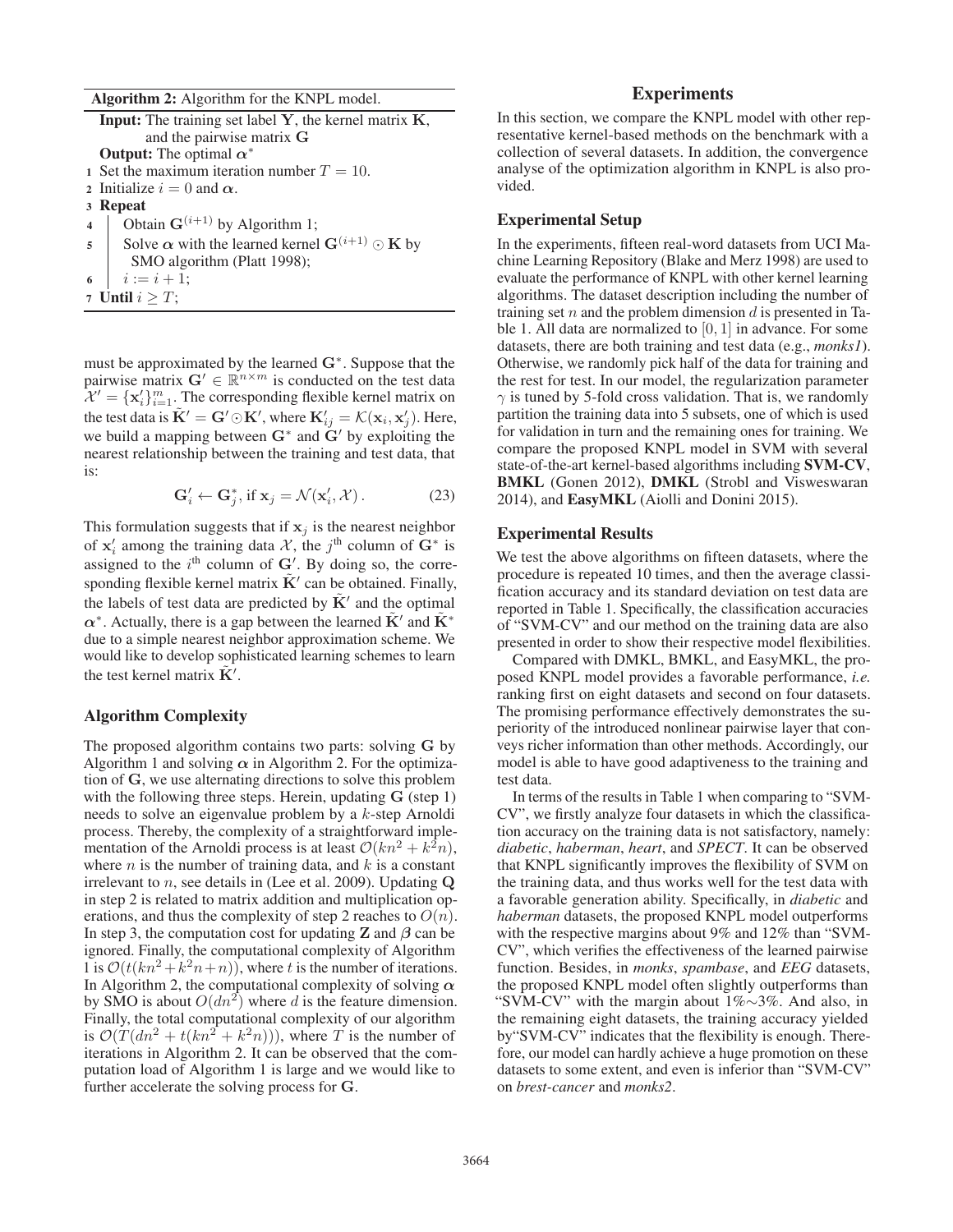Algorithm 2: Algorithm for the KNPL model.

|   | <b>Input:</b> The training set label $Y$ , the kernel matrix $K$ , |  |  |  |  |  |  |  |
|---|--------------------------------------------------------------------|--|--|--|--|--|--|--|
|   | and the pairwise matrix G                                          |  |  |  |  |  |  |  |
|   | <b>Output:</b> The optimal $\alpha^*$                              |  |  |  |  |  |  |  |
|   | 1 Set the maximum iteration number $T = 10$ .                      |  |  |  |  |  |  |  |
|   | 2 Initialize $i = 0$ and $\alpha$ .                                |  |  |  |  |  |  |  |
|   | 3 Repeat                                                           |  |  |  |  |  |  |  |
|   | 4 Obtain $G^{(i+1)}$ by Algorithm 1;                               |  |  |  |  |  |  |  |
|   | 5   Solve $\alpha$ with the learned kernel $G^{(i+1)} \odot K$ by  |  |  |  |  |  |  |  |
|   | SMO algorithm (Platt 1998);                                        |  |  |  |  |  |  |  |
| 6 | $i := i + 1;$                                                      |  |  |  |  |  |  |  |
|   | 7 Until $i \geq T$ ;                                               |  |  |  |  |  |  |  |

must be approximated by the learned **G**∗. Suppose that the pairwise matrix  $\mathbf{G}' \in \mathbb{R}^{n \times m}$  is conducted on the test data  $\mathcal{X}' = {\mathbf{x}'_i}_{i=1}^m$ . The corresponding flexible kernel matrix on the test data is  $\tilde{\mathbf{K}}' = \mathbf{G}' \odot \mathbf{K}'$ , where  $\mathbf{K}'_{ij} = \mathcal{K}(\mathbf{x}_i, \mathbf{x}'_j)$ . Here, we build a mapping between **G**<sup>∗</sup> and **G**<sup>*'*</sup> by exploiting the nearest relationship between the training and test data, that is:

$$
\mathbf{G}'_i \leftarrow \mathbf{G}^*_j, \text{ if } \mathbf{x}_j = \mathcal{N}(\mathbf{x}'_i, \mathcal{X}). \tag{23}
$$

This formulation suggests that if  $x_j$  is the nearest neighbor of  $x'_i$  among the training data X, the j<sup>th</sup> column of  $G^*$  is assigned to the  $i<sup>th</sup>$  column of  $G'$ . By doing so, the corresponding flexible kernel matrix  $\tilde{\mathbf{K}}'$  can be obtained. Finally, the labels of test data are predicted by  $K'$  and the optimal  $\alpha^*$ . Actually, there is a gap between the learned  $\tilde{K}'$  and  $\tilde{K}^*$ due to a simple nearest neighbor approximation scheme. We would like to develop sophisticated learning schemes to learn the test kernel matrix  $\tilde{\mathbf{K}}$ <sup>'</sup>.

#### Algorithm Complexity

The proposed algorithm contains two parts: solving **G** by Algorithm 1 and solving  $\alpha$  in Algorithm 2. For the optimization of **G**, we use alternating directions to solve this problem with the following three steps. Herein, updating **G** (step 1) needs to solve an eigenvalue problem by a k-step Arnoldi process. Thereby, the complexity of a straightforward implementation of the Arnoldi process is at least  $\mathcal{O}(kn^2 + k^2n)$ , where  $n$  is the number of training data, and  $k$  is a constant irrelevant to n, see details in (Lee et al. 2009). Updating **Q** in step 2 is related to matrix addition and multiplication operations, and thus the complexity of step 2 reaches to  $O(n)$ . In step 3, the computation cost for updating **Z** and *β* can be ignored. Finally, the computational complexity of Algorithm 1 is  $\mathcal{O}(t(kn^2 + k^2n + n))$ , where t is the number of iterations. In Algorithm 2, the computational complexity of solving *α* by SMO is about  $O(dn^2)$  where d is the feature dimension. Finally, the total computational complexity of our algorithm is  $\mathcal{O}(T(dn^2 + t(kn^2 + k^2n)))$ , where T is the number of iterations in Algorithm 2. It can be observed that the computation load of Algorithm 1 is large and we would like to further accelerate the solving process for **G**.

### **Experiments**

In this section, we compare the KNPL model with other representative kernel-based methods on the benchmark with a collection of several datasets. In addition, the convergence analyse of the optimization algorithm in KNPL is also provided.

#### Experimental Setup

In the experiments, fifteen real-word datasets from UCI Machine Learning Repository (Blake and Merz 1998) are used to evaluate the performance of KNPL with other kernel learning algorithms. The dataset description including the number of training set n and the problem dimension d is presented in Table 1. All data are normalized to  $[0, 1]$  in advance. For some datasets, there are both training and test data (e.g., *monks1*). Otherwise, we randomly pick half of the data for training and the rest for test. In our model, the regularization parameter  $\gamma$  is tuned by 5-fold cross validation. That is, we randomly partition the training data into 5 subsets, one of which is used for validation in turn and the remaining ones for training. We compare the proposed KNPL model in SVM with several state-of-the-art kernel-based algorithms including SVM-CV, BMKL (Gonen 2012), DMKL (Strobl and Visweswaran 2014), and EasyMKL (Aiolli and Donini 2015).

#### Experimental Results

We test the above algorithms on fifteen datasets, where the procedure is repeated 10 times, and then the average classification accuracy and its standard deviation on test data are reported in Table 1. Specifically, the classification accuracies of "SVM-CV" and our method on the training data are also presented in order to show their respective model flexibilities.

Compared with DMKL, BMKL, and EasyMKL, the proposed KNPL model provides a favorable performance, *i.e.* ranking first on eight datasets and second on four datasets. The promising performance effectively demonstrates the superiority of the introduced nonlinear pairwise layer that conveys richer information than other methods. Accordingly, our model is able to have good adaptiveness to the training and test data.

In terms of the results in Table 1 when comparing to "SVM-CV", we firstly analyze four datasets in which the classification accuracy on the training data is not satisfactory, namely: *diabetic*, *haberman*, *heart*, and *SPECT*. It can be observed that KNPL significantly improves the flexibility of SVM on the training data, and thus works well for the test data with a favorable generation ability. Specifically, in *diabetic* and *haberman* datasets, the proposed KNPL model outperforms with the respective margins about 9% and 12% than "SVM-CV", which verifies the effectiveness of the learned pairwise function. Besides, in *monks*, *spambase*, and *EEG* datasets, the proposed KNPL model often slightly outperforms than "SVM-CV" with the margin about 1%∼3%. And also, in the remaining eight datasets, the training accuracy yielded by"SVM-CV" indicates that the flexibility is enough. Therefore, our model can hardly achieve a huge promotion on these datasets to some extent, and even is inferior than "SVM-CV" on *brest-cancer* and *monks2*.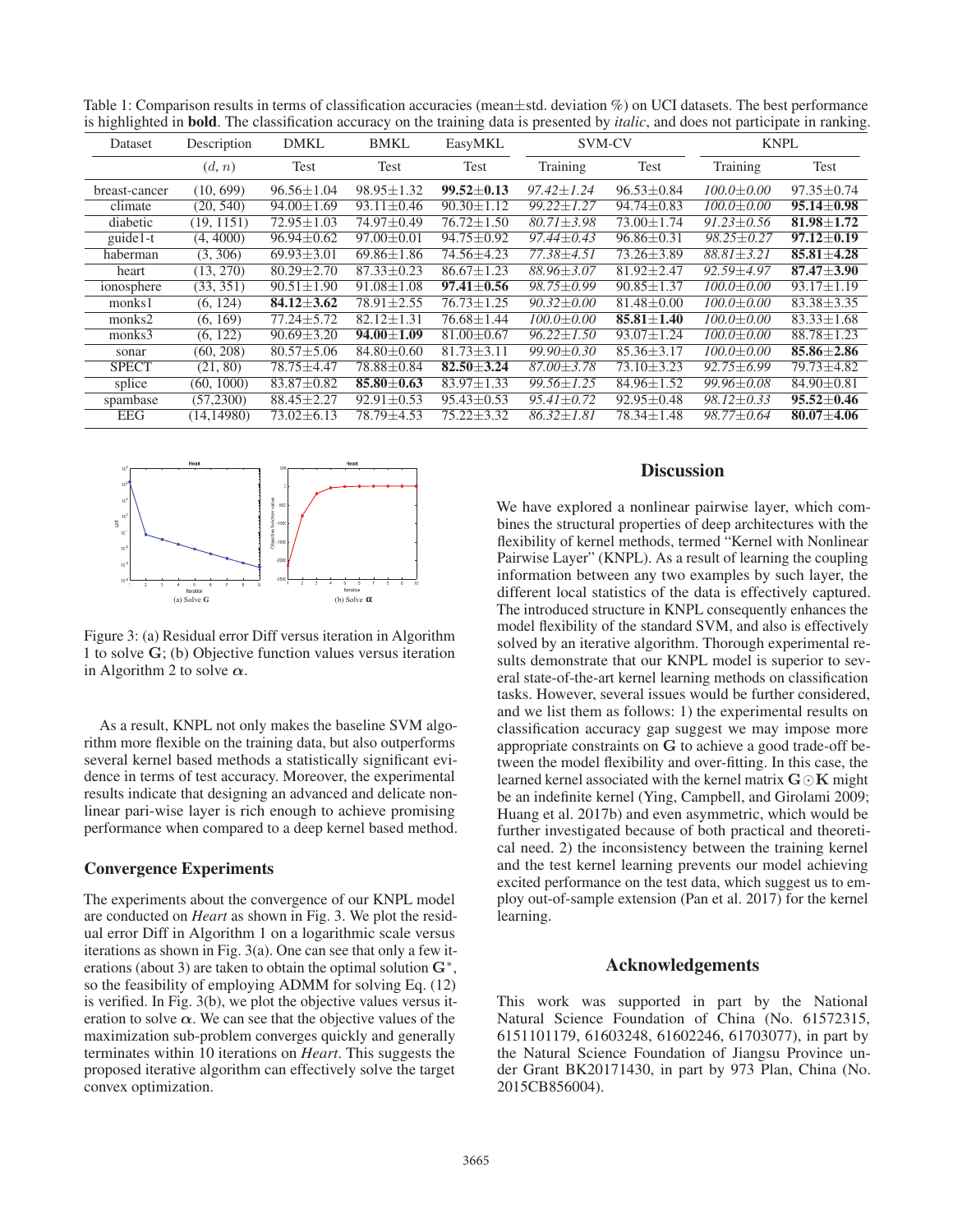| Dataset       | Description | <b>DMKL</b>             | <b>BMKL</b>      | EasyMKL          | <b>SVM-CV</b>    |                  | <b>KNPL</b>      |                  |
|---------------|-------------|-------------------------|------------------|------------------|------------------|------------------|------------------|------------------|
|               | (d, n)      | Test                    | Test             | Test             | Training         | Test             | Training         | Test             |
| breast-cancer | (10, 699)   | $96.56 \pm 1.04$        | $98.95 \pm 1.32$ | $99.52 \pm 0.13$ | $97.42 \pm 1.24$ | $96.53 \pm 0.84$ | $100.0 \pm 0.00$ | $97.35 \pm 0.74$ |
| climate       | (20, 540)   | $\sqrt{94.00 \pm 1.69}$ | $93.11 \pm 0.46$ | $90.30 \pm 1.12$ | $99.22 + 1.27$   | $94.74 \pm 0.83$ | $100.0 \pm 0.00$ | $95.14 \pm 0.98$ |
| diabetic      | (19, 1151)  | $72.95 \pm 1.03$        | 74.97±0.49       | 76.72±1.50       | $80.71 \pm 3.98$ | $73.00 \pm 1.74$ | $91.23 \pm 0.56$ | $81.98 \pm 1.72$ |
| guide1-t      | (4, 4000)   | $96.94 \pm 0.62$        | $97.00 \pm 0.01$ | 94.75±0.92       | $97.44 \pm 0.43$ | $96.86 \pm 0.31$ | $98.25 \pm 0.27$ | $97.12 \pm 0.19$ |
| haberman      | (3, 306)    | $69.93 \pm 3.01$        | $69.86 \pm 1.86$ | 74.56±4.23       | 77.38±4.51       | $73.26 \pm 3.89$ | $88.81 \pm 3.21$ | $85.81 \pm 4.28$ |
| heart         | (13, 270)   | $80.29 \pm 2.70$        | $87.33 \pm 0.23$ | $86.67 \pm 1.23$ | $88.96 \pm 3.07$ | $81.92 \pm 2.47$ | $92.59 \pm 4.97$ | $87.47 \pm 3.90$ |
| ionosphere    | (33, 351)   | $90.51 \pm 1.90$        | $91.08 \pm 1.08$ | $97.41 \pm 0.56$ | $98.75 \pm 0.99$ | $90.85 \pm 1.37$ | $100.0 \pm 0.00$ | $93.17 \pm 1.19$ |
| monks1        | (6, 124)    | $84.12 \pm 3.62$        | $78.91 \pm 2.55$ | 76.73±1.25       | $90.32 \pm 0.00$ | $81.48 \pm 0.00$ | $100.0 \pm 0.00$ | $83.38 \pm 3.35$ |
| monks2        | (6, 169)    | $77.24 \pm 5.72$        | $82.12 \pm 1.31$ | $76.68 \pm 1.44$ | $100.0 \pm 0.00$ | $85.81 \pm 1.40$ | $100.0 \pm 0.00$ | $83.33 \pm 1.68$ |
| monks3        | (6, 122)    | $90.69 \pm 3.20$        | $94.00 \pm 1.09$ | $81.00 \pm 0.67$ | $96.22 \pm 1.50$ | $93.07 \pm 1.24$ | $100.0 \pm 0.00$ | $88.78 \pm 1.23$ |
| sonar         | (60, 208)   | $80.57 \pm 5.06$        | $84.80 \pm 0.60$ | $81.73 \pm 3.11$ | $99.90 + 0.30$   | $85.36 + 3.17$   | $100.0 + 0.00$   | $85.86 + 2.86$   |
| <b>SPECT</b>  | (21, 80)    | 78.75±4.47              | 78.88±0.84       | $82.50 + 3.24$   | $87.00 + 3.78$   | $73.10 + 3.23$   | $92.75 + 6.99$   | 79.73±4.82       |
| splice        | (60, 1000)  | $83.87 \pm 0.82$        | $85.80 \pm 0.63$ | $83.97 \pm 1.33$ | $99.56 \pm 1.25$ | $84.96 \pm 1.52$ | $99.96 \pm 0.08$ | $84.90 \pm 0.81$ |
| spambase      | (57,2300)   | $88.45 \pm 2.27$        | $92.91 \pm 0.53$ | $95.43 \pm 0.53$ | $95.41 \pm 0.72$ | $92.95 \pm 0.48$ | $98.12 \pm 0.33$ | $95.52 \pm 0.46$ |
| <b>EEG</b>    | (14.14980)  | $73.02 \pm 6.13$        | 78.79±4.53       | $75.22 \pm 3.32$ | $86.32 + 1.81$   | $78.34 \pm 1.48$ | $98.77 \pm 0.64$ | $80.07 \pm 4.06$ |

Table 1: Comparison results in terms of classification accuracies (mean±std. deviation %) on UCI datasets. The best performance is highlighted in bold. The classification accuracy on the training data is presented by *italic*, and does not participate in ranking.



Figure 3: (a) Residual error Diff versus iteration in Algorithm 1 to solve **G**; (b) Objective function values versus iteration in Algorithm 2 to solve *α*.

As a result, KNPL not only makes the baseline SVM algorithm more flexible on the training data, but also outperforms several kernel based methods a statistically significant evidence in terms of test accuracy. Moreover, the experimental results indicate that designing an advanced and delicate nonlinear pari-wise layer is rich enough to achieve promising performance when compared to a deep kernel based method.

#### Convergence Experiments

The experiments about the convergence of our KNPL model are conducted on *Heart* as shown in Fig. 3. We plot the residual error Diff in Algorithm 1 on a logarithmic scale versus iterations as shown in Fig. 3(a). One can see that only a few iterations (about 3) are taken to obtain the optimal solution **G**∗, so the feasibility of employing ADMM for solving Eq. (12) is verified. In Fig. 3(b), we plot the objective values versus iteration to solve  $\alpha$ . We can see that the objective values of the maximization sub-problem converges quickly and generally terminates within 10 iterations on *Heart*. This suggests the proposed iterative algorithm can effectively solve the target convex optimization.

# **Discussion**

We have explored a nonlinear pairwise layer, which combines the structural properties of deep architectures with the flexibility of kernel methods, termed "Kernel with Nonlinear Pairwise Layer" (KNPL). As a result of learning the coupling information between any two examples by such layer, the different local statistics of the data is effectively captured. The introduced structure in KNPL consequently enhances the model flexibility of the standard SVM, and also is effectively solved by an iterative algorithm. Thorough experimental results demonstrate that our KNPL model is superior to several state-of-the-art kernel learning methods on classification tasks. However, several issues would be further considered, and we list them as follows: 1) the experimental results on classification accuracy gap suggest we may impose more appropriate constraints on **G** to achieve a good trade-off between the model flexibility and over-fitting. In this case, the learned kernel associated with the kernel matrix  $\mathbf{G} \odot \mathbf{K}$  might be an indefinite kernel (Ying, Campbell, and Girolami 2009; Huang et al. 2017b) and even asymmetric, which would be further investigated because of both practical and theoretical need. 2) the inconsistency between the training kernel and the test kernel learning prevents our model achieving excited performance on the test data, which suggest us to employ out-of-sample extension (Pan et al. 2017) for the kernel learning.

# Acknowledgements

This work was supported in part by the National Natural Science Foundation of China (No. 61572315, 6151101179, 61603248, 61602246, 61703077), in part by the Natural Science Foundation of Jiangsu Province under Grant BK20171430, in part by 973 Plan, China (No. 2015CB856004).